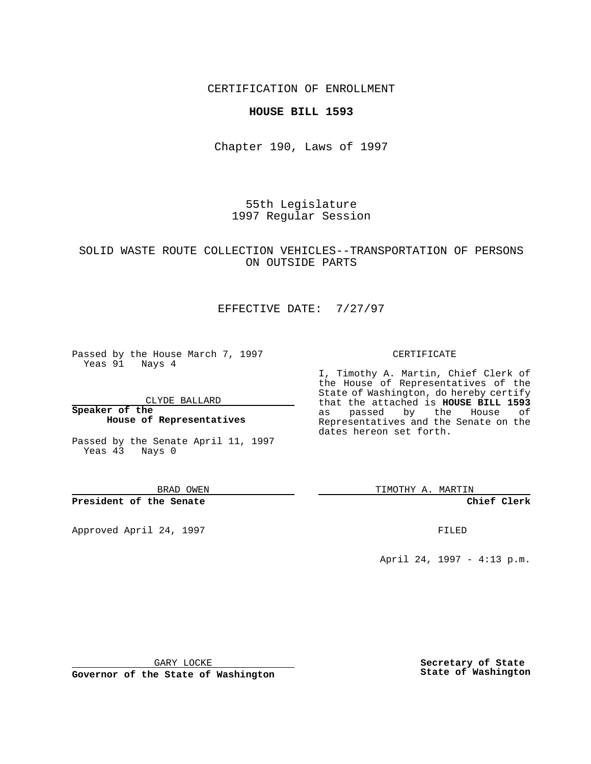### CERTIFICATION OF ENROLLMENT

### **HOUSE BILL 1593**

Chapter 190, Laws of 1997

55th Legislature 1997 Regular Session

## SOLID WASTE ROUTE COLLECTION VEHICLES--TRANSPORTATION OF PERSONS ON OUTSIDE PARTS

## EFFECTIVE DATE: 7/27/97

Passed by the House March 7, 1997 Yeas 91 Nays 4

CLYDE BALLARD

**Speaker of the House of Representatives**

Passed by the Senate April 11, 1997 Yeas 43 Nays 0

BRAD OWEN

**President of the Senate**

Approved April 24, 1997 **FILED** 

#### CERTIFICATE

I, Timothy A. Martin, Chief Clerk of the House of Representatives of the State of Washington, do hereby certify that the attached is **HOUSE BILL 1593** as passed by the House of Representatives and the Senate on the dates hereon set forth.

TIMOTHY A. MARTIN

**Chief Clerk**

April 24, 1997 - 4:13 p.m.

GARY LOCKE

**Governor of the State of Washington**

**Secretary of State State of Washington**